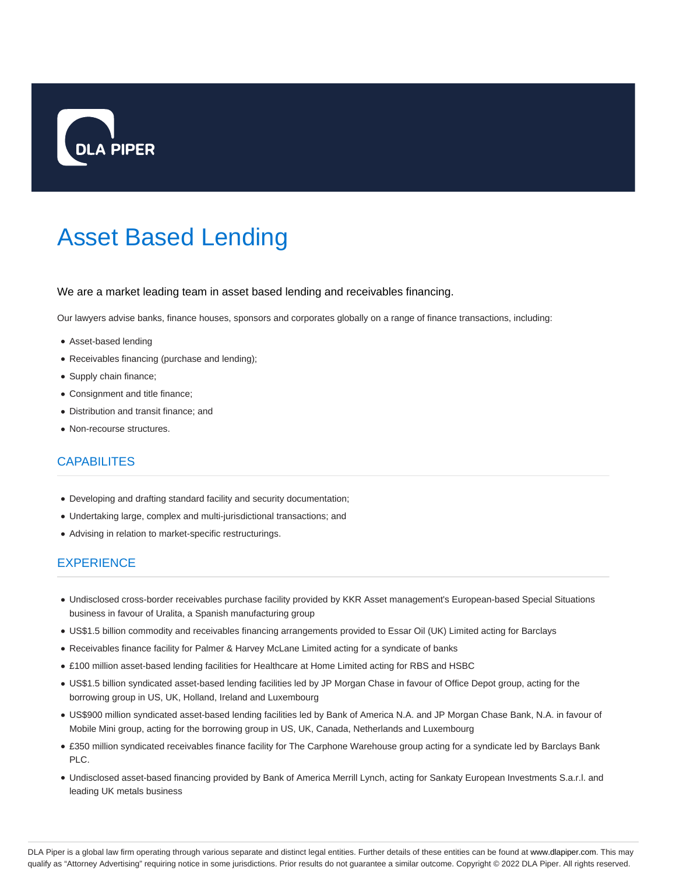

## Asset Based Lending

## We are a market leading team in asset based lending and receivables financing.

Our lawyers advise banks, finance houses, sponsors and corporates globally on a range of finance transactions, including:

- Asset-based lending
- Receivables financing (purchase and lending);
- Supply chain finance;
- Consignment and title finance;
- Distribution and transit finance; and
- Non-recourse structures.

## **CAPABILITES**

- Developing and drafting standard facility and security documentation;
- Undertaking large, complex and multi-jurisdictional transactions; and
- Advising in relation to market-specific restructurings.

## **EXPERIENCE**

- Undisclosed cross-border receivables purchase facility provided by KKR Asset management's European-based Special Situations business in favour of Uralita, a Spanish manufacturing group
- US\$1.5 billion commodity and receivables financing arrangements provided to Essar Oil (UK) Limited acting for Barclays
- Receivables finance facility for Palmer & Harvey McLane Limited acting for a syndicate of banks
- £100 million asset-based lending facilities for Healthcare at Home Limited acting for RBS and HSBC
- US\$1.5 billion syndicated asset-based lending facilities led by JP Morgan Chase in favour of Office Depot group, acting for the borrowing group in US, UK, Holland, Ireland and Luxembourg
- US\$900 million syndicated asset-based lending facilities led by Bank of America N.A. and JP Morgan Chase Bank, N.A. in favour of Mobile Mini group, acting for the borrowing group in US, UK, Canada, Netherlands and Luxembourg
- £350 million syndicated receivables finance facility for The Carphone Warehouse group acting for a syndicate led by Barclays Bank PLC.
- Undisclosed asset-based financing provided by Bank of America Merrill Lynch, acting for Sankaty European Investments S.a.r.l. and leading UK metals business